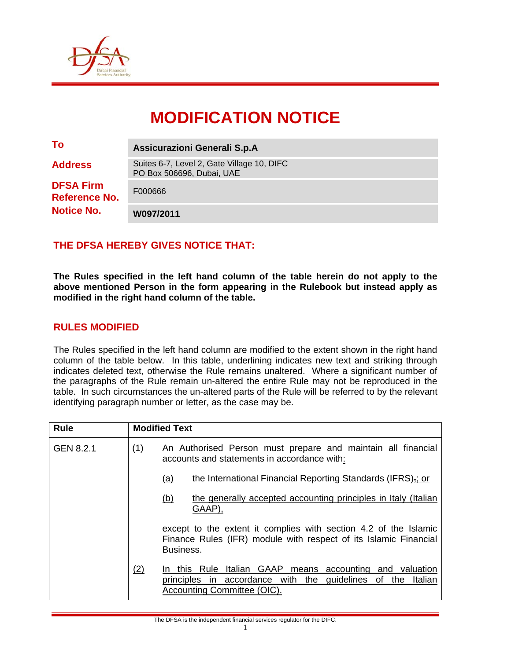

# **MODIFICATION NOTICE**

| To                                       | Assicurazioni Generali S.p.A                                            |
|------------------------------------------|-------------------------------------------------------------------------|
| <b>Address</b>                           | Suites 6-7, Level 2, Gate Village 10, DIFC<br>PO Box 506696, Dubai, UAE |
| <b>DFSA Firm</b><br><b>Reference No.</b> | F000666                                                                 |
| <b>Notice No.</b>                        | W097/2011                                                               |

## **THE DFSA HEREBY GIVES NOTICE THAT:**

**The Rules specified in the left hand column of the table herein do not apply to the above mentioned Person in the form appearing in the Rulebook but instead apply as modified in the right hand column of the table.** 

#### **RULES MODIFIED**

The Rules specified in the left hand column are modified to the extent shown in the right hand column of the table below. In this table, underlining indicates new text and striking through indicates deleted text, otherwise the Rule remains unaltered. Where a significant number of the paragraphs of the Rule remain un-altered the entire Rule may not be reproduced in the table. In such circumstances the un-altered parts of the Rule will be referred to by the relevant identifying paragraph number or letter, as the case may be.

| <b>Rule</b> |     | <b>Modified Text</b>                                                                                                                                            |  |  |  |  |
|-------------|-----|-----------------------------------------------------------------------------------------------------------------------------------------------------------------|--|--|--|--|
| GEN 8.2.1   | (1) | An Authorised Person must prepare and maintain all financial<br>accounts and statements in accordance with:                                                     |  |  |  |  |
|             |     | the International Financial Reporting Standards (IFRS), or<br><u>(a)</u>                                                                                        |  |  |  |  |
|             |     | <u>(b)</u><br>the generally accepted accounting principles in Italy (Italian<br>GAAP),                                                                          |  |  |  |  |
|             |     | except to the extent it complies with section 4.2 of the Islamic<br>Finance Rules (IFR) module with respect of its Islamic Financial<br>Business.               |  |  |  |  |
|             | (2) | In this Rule Italian GAAP<br>means accounting and valuation<br>accordance with the guidelines of the<br>principles in<br>Italian<br>Accounting Committee (OIC). |  |  |  |  |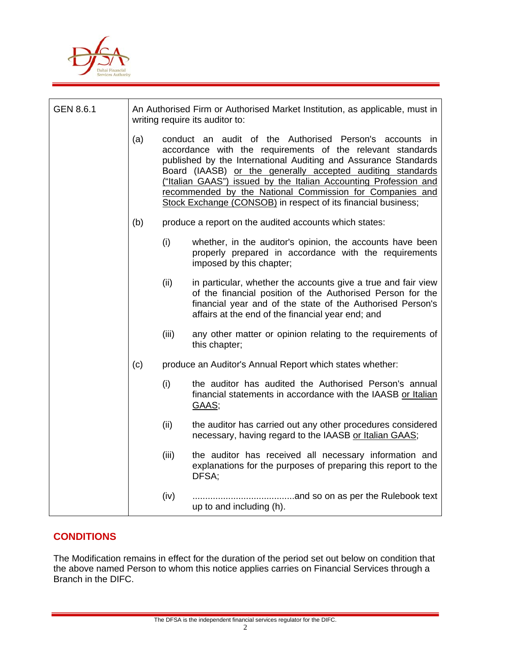

| GEN 8.6.1 | An Authorised Firm or Authorised Market Institution, as applicable, must in<br>writing require its auditor to: |                                                                                                                                                                                                                                                                                                                                                                                                                                                         |                                                                                                                                                                                                                                                |  |  |
|-----------|----------------------------------------------------------------------------------------------------------------|---------------------------------------------------------------------------------------------------------------------------------------------------------------------------------------------------------------------------------------------------------------------------------------------------------------------------------------------------------------------------------------------------------------------------------------------------------|------------------------------------------------------------------------------------------------------------------------------------------------------------------------------------------------------------------------------------------------|--|--|
|           | (a)                                                                                                            | conduct an audit of the Authorised Person's accounts in<br>accordance with the requirements of the relevant standards<br>published by the International Auditing and Assurance Standards<br>Board (IAASB) or the generally accepted auditing standards<br>("Italian GAAS") issued by the Italian Accounting Profession and<br>recommended by the National Commission for Companies and<br>Stock Exchange (CONSOB) in respect of its financial business; |                                                                                                                                                                                                                                                |  |  |
|           | (b)                                                                                                            | produce a report on the audited accounts which states:                                                                                                                                                                                                                                                                                                                                                                                                  |                                                                                                                                                                                                                                                |  |  |
|           |                                                                                                                | (i)                                                                                                                                                                                                                                                                                                                                                                                                                                                     | whether, in the auditor's opinion, the accounts have been<br>properly prepared in accordance with the requirements<br>imposed by this chapter;                                                                                                 |  |  |
|           |                                                                                                                | (ii)                                                                                                                                                                                                                                                                                                                                                                                                                                                    | in particular, whether the accounts give a true and fair view<br>of the financial position of the Authorised Person for the<br>financial year and of the state of the Authorised Person's<br>affairs at the end of the financial year end; and |  |  |
|           |                                                                                                                | (iii)                                                                                                                                                                                                                                                                                                                                                                                                                                                   | any other matter or opinion relating to the requirements of<br>this chapter;                                                                                                                                                                   |  |  |
|           | (c)                                                                                                            | produce an Auditor's Annual Report which states whether:                                                                                                                                                                                                                                                                                                                                                                                                |                                                                                                                                                                                                                                                |  |  |
|           |                                                                                                                | (i)                                                                                                                                                                                                                                                                                                                                                                                                                                                     | the auditor has audited the Authorised Person's annual<br>financial statements in accordance with the IAASB or Italian<br>GAAS;                                                                                                                |  |  |
|           |                                                                                                                | (ii)                                                                                                                                                                                                                                                                                                                                                                                                                                                    | the auditor has carried out any other procedures considered<br>necessary, having regard to the IAASB or Italian GAAS;                                                                                                                          |  |  |
|           |                                                                                                                | (iii)                                                                                                                                                                                                                                                                                                                                                                                                                                                   | the auditor has received all necessary information and<br>explanations for the purposes of preparing this report to the<br>DFSA;                                                                                                               |  |  |
|           |                                                                                                                | (iv)                                                                                                                                                                                                                                                                                                                                                                                                                                                    | up to and including (h).                                                                                                                                                                                                                       |  |  |

### **CONDITIONS**

The Modification remains in effect for the duration of the period set out below on condition that the above named Person to whom this notice applies carries on Financial Services through a Branch in the DIFC.